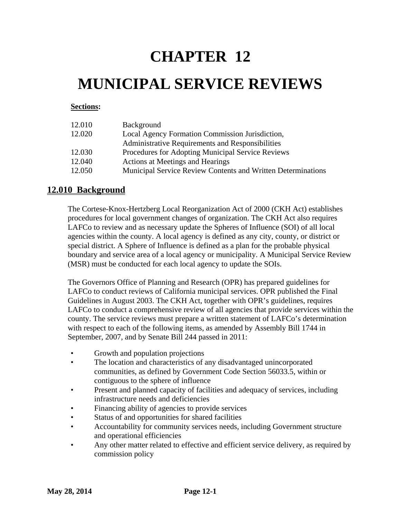# **CHAPTER 12**

# **MUNICIPAL SERVICE REVIEWS**

# **Sections:**

| 12.010 | Background                                                   |
|--------|--------------------------------------------------------------|
| 12.020 | Local Agency Formation Commission Jurisdiction,              |
|        | Administrative Requirements and Responsibilities             |
| 12.030 | Procedures for Adopting Municipal Service Reviews            |
| 12.040 | Actions at Meetings and Hearings                             |
| 12.050 | Municipal Service Review Contents and Written Determinations |

# **12.010 Background**

The Cortese-Knox-Hertzberg Local Reorganization Act of 2000 (CKH Act) establishes procedures for local government changes of organization. The CKH Act also requires LAFCo to review and as necessary update the Spheres of Influence (SOI) of all local agencies within the county. A local agency is defined as any city, county, or district or special district. A Sphere of Influence is defined as a plan for the probable physical boundary and service area of a local agency or municipality. A Municipal Service Review (MSR) must be conducted for each local agency to update the SOIs.

The Governors Office of Planning and Research (OPR) has prepared guidelines for LAFCo to conduct reviews of California municipal services. OPR published the Final Guidelines in August 2003. The CKH Act, together with OPR's guidelines, requires LAFCo to conduct a comprehensive review of all agencies that provide services within the county. The service reviews must prepare a written statement of LAFCo's determination with respect to each of the following items, as amended by Assembly Bill 1744 in September, 2007, and by Senate Bill 244 passed in 2011:

- Growth and population projections
- The location and characteristics of any disadvantaged unincorporated communities, as defined by Government Code Section 56033.5, within or contiguous to the sphere of influence
- Present and planned capacity of facilities and adequacy of services, including infrastructure needs and deficiencies
- Financing ability of agencies to provide services
- Status of and opportunities for shared facilities
- Accountability for community services needs, including Government structure and operational efficiencies
- Any other matter related to effective and efficient service delivery, as required by commission policy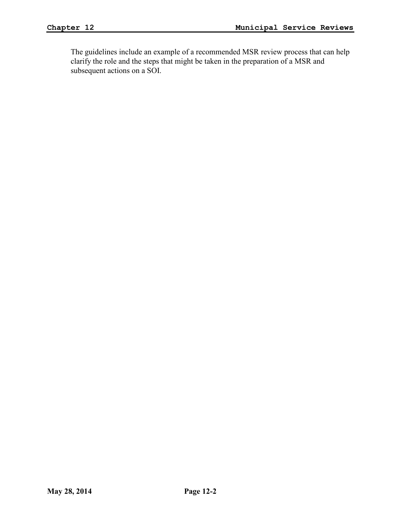The guidelines include an example of a recommended MSR review process that can help clarify the role and the steps that might be taken in the preparation of a MSR and subsequent actions on a SOI.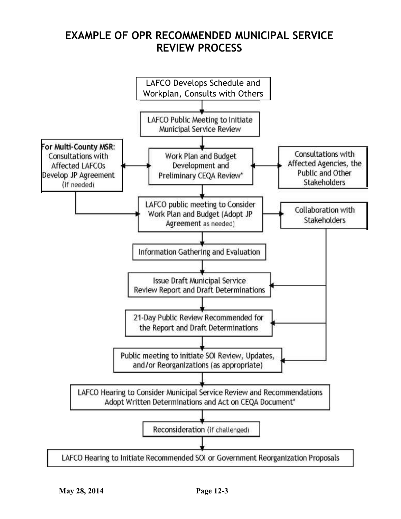# **EXAMPLE OF OPR RECOMMENDED MUNICIPAL SERVICE REVIEW PROCESS**

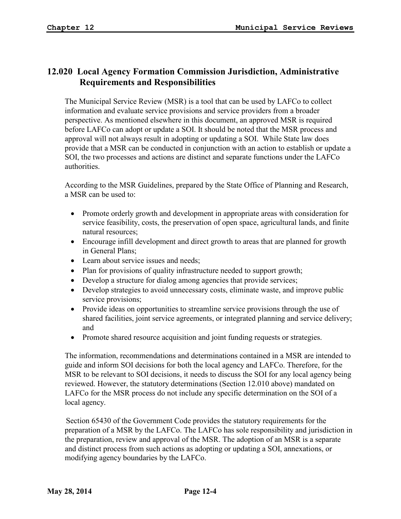# **12.020 Local Agency Formation Commission Jurisdiction, Administrative Requirements and Responsibilities**

The Municipal Service Review (MSR) is a tool that can be used by LAFCo to collect information and evaluate service provisions and service providers from a broader perspective. As mentioned elsewhere in this document, an approved MSR is required before LAFCo can adopt or update a SOI. It should be noted that the MSR process and approval will not always result in adopting or updating a SOI. While State law does provide that a MSR can be conducted in conjunction with an action to establish or update a SOI, the two processes and actions are distinct and separate functions under the LAFCo authorities.

According to the MSR Guidelines, prepared by the State Office of Planning and Research, a MSR can be used to:

- Promote orderly growth and development in appropriate areas with consideration for service feasibility, costs, the preservation of open space, agricultural lands, and finite natural resources;
- Encourage infill development and direct growth to areas that are planned for growth in General Plans;
- Learn about service issues and needs;
- Plan for provisions of quality infrastructure needed to support growth;
- Develop a structure for dialog among agencies that provide services;
- Develop strategies to avoid unnecessary costs, eliminate waste, and improve public service provisions;
- Provide ideas on opportunities to streamline service provisions through the use of shared facilities, joint service agreements, or integrated planning and service delivery; and
- Promote shared resource acquisition and joint funding requests or strategies.

The information, recommendations and determinations contained in a MSR are intended to guide and inform SOI decisions for both the local agency and LAFCo. Therefore, for the MSR to be relevant to SOI decisions, it needs to discuss the SOI for any local agency being reviewed. However, the statutory determinations (Section 12.010 above) mandated on LAFCo for the MSR process do not include any specific determination on the SOI of a local agency.

Section 65430 of the Government Code provides the statutory requirements for the preparation of a MSR by the LAFCo. The LAFCo has sole responsibility and jurisdiction in the preparation, review and approval of the MSR. The adoption of an MSR is a separate and distinct process from such actions as adopting or updating a SOI, annexations, or modifying agency boundaries by the LAFCo.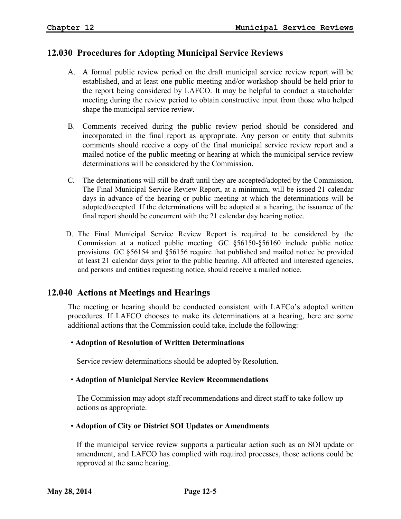# **12.030 Procedures for Adopting Municipal Service Reviews**

- A. A formal public review period on the draft municipal service review report will be established, and at least one public meeting and/or workshop should be held prior to the report being considered by LAFCO. It may be helpful to conduct a stakeholder meeting during the review period to obtain constructive input from those who helped shape the municipal service review.
- B. Comments received during the public review period should be considered and incorporated in the final report as appropriate. Any person or entity that submits comments should receive a copy of the final municipal service review report and a mailed notice of the public meeting or hearing at which the municipal service review determinations will be considered by the Commission.
- C. The determinations will still be draft until they are accepted/adopted by the Commission. The Final Municipal Service Review Report, at a minimum, will be issued 21 calendar days in advance of the hearing or public meeting at which the determinations will be adopted/accepted. If the determinations will be adopted at a hearing, the issuance of the final report should be concurrent with the 21 calendar day hearing notice.
- D. The Final Municipal Service Review Report is required to be considered by the Commission at a noticed public meeting. GC §56150-§56160 include public notice provisions. GC §56154 and §56156 require that published and mailed notice be provided at least 21 calendar days prior to the public hearing. All affected and interested agencies, and persons and entities requesting notice, should receive a mailed notice.

# **12.040 Actions at Meetings and Hearings**

The meeting or hearing should be conducted consistent with LAFCo's adopted written procedures. If LAFCO chooses to make its determinations at a hearing, here are some additional actions that the Commission could take, include the following:

# • **Adoption of Resolution of Written Determinations**

Service review determinations should be adopted by Resolution.

# • **Adoption of Municipal Service Review Recommendations**

The Commission may adopt staff recommendations and direct staff to take follow up actions as appropriate.

# • **Adoption of City or District SOI Updates or Amendments**

If the municipal service review supports a particular action such as an SOI update or amendment, and LAFCO has complied with required processes, those actions could be approved at the same hearing.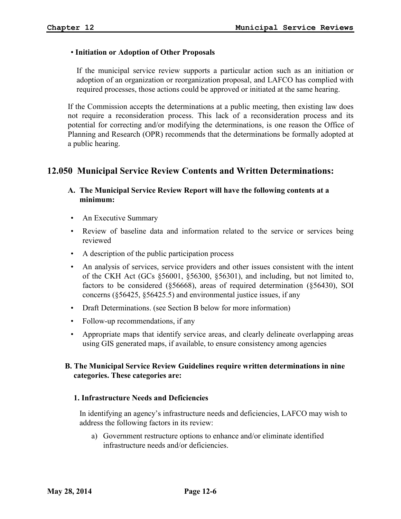### • **Initiation or Adoption of Other Proposals**

If the municipal service review supports a particular action such as an initiation or adoption of an organization or reorganization proposal, and LAFCO has complied with required processes, those actions could be approved or initiated at the same hearing.

If the Commission accepts the determinations at a public meeting, then existing law does not require a reconsideration process. This lack of a reconsideration process and its potential for correcting and/or modifying the determinations, is one reason the Office of Planning and Research (OPR) recommends that the determinations be formally adopted at a public hearing.

# **12.050 Municipal Service Review Contents and Written Determinations:**

# **A. The Municipal Service Review Report will have the following contents at a minimum:**

- An Executive Summary
- Review of baseline data and information related to the service or services being reviewed
- A description of the public participation process
- An analysis of services, service providers and other issues consistent with the intent of the CKH Act (GCs §56001, §56300, §56301), and including, but not limited to, factors to be considered (§56668), areas of required determination (§56430), SOI concerns (§56425, §56425.5) and environmental justice issues, if any
- Draft Determinations. (see Section B below for more information)
- Follow-up recommendations, if any
- Appropriate maps that identify service areas, and clearly delineate overlapping areas using GIS generated maps, if available, to ensure consistency among agencies

# **B. The Municipal Service Review Guidelines require written determinations in nine categories. These categories are:**

#### **1. Infrastructure Needs and Deficiencies**

In identifying an agency's infrastructure needs and deficiencies, LAFCO may wish to address the following factors in its review:

a) Government restructure options to enhance and/or eliminate identified infrastructure needs and/or deficiencies.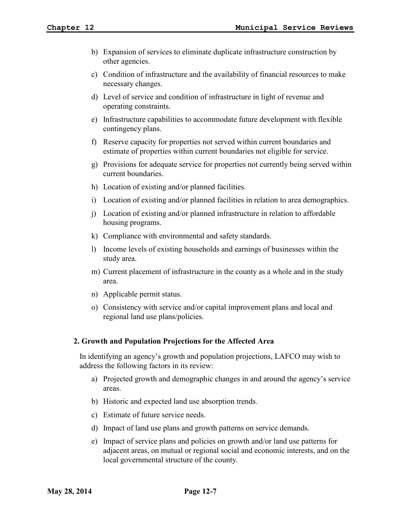- b) Expansion of services to eliminate duplicate infrastructure construction by other agencies.
- c) Condition of infrastructure and the availability of financial resources to make necessary changes.
- d) Level of service and condition of infrastructure in light of revenue and operating constraints.
- e) Infrastructure capabilities to accommodate future development with flexible contingency plans.
- f) Reserve capacity for properties not served within current boundaries and estimate of properties within current boundaries not eligible for service.
- g) Provisions for adequate service for properties not currently being served within current boundaries.
- h) Location of existing and/or planned facilities.
- i) Location of existing and/or planned facilities in relation to area demographics.
- j) Location of existing and/or planned infrastructure in relation to affordable housing programs.
- k) Compliance with environmental and safety standards.
- l) Income levels of existing households and earnings of businesses within the study area.
- m) Current placement of infrastructure in the county as a whole and in the study area.
- n) Applicable permit status.
- o) Consistency with service and/or capital improvement plans and local and regional land use plans/policies.

#### **2. Growth and Population Projections for the Affected Area**

In identifying an agency's growth and population projections, LAFCO may wish to address the following factors in its review:

- a) Projected growth and demographic changes in and around the agency's service areas.
- b) Historic and expected land use absorption trends.
- c) Estimate of future service needs.
- d) Impact of land use plans and growth patterns on service demands.
- e) Impact of service plans and policies on growth and/or land use patterns for adjacent areas, on mutual or regional social and economic interests, and on the local governmental structure of the county.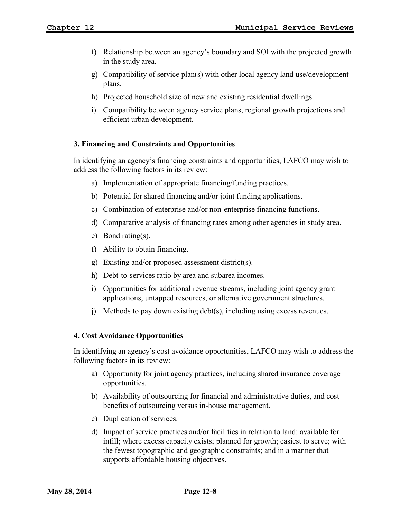- f) Relationship between an agency's boundary and SOI with the projected growth in the study area.
- g) Compatibility of service plan(s) with other local agency land use/development plans.
- h) Projected household size of new and existing residential dwellings.
- i) Compatibility between agency service plans, regional growth projections and efficient urban development.

### **3. Financing and Constraints and Opportunities**

In identifying an agency's financing constraints and opportunities, LAFCO may wish to address the following factors in its review:

- a) Implementation of appropriate financing/funding practices.
- b) Potential for shared financing and/or joint funding applications.
- c) Combination of enterprise and/or non-enterprise financing functions.
- d) Comparative analysis of financing rates among other agencies in study area.
- e) Bond rating(s).
- f) Ability to obtain financing.
- g) Existing and/or proposed assessment district(s).
- h) Debt-to-services ratio by area and subarea incomes.
- i) Opportunities for additional revenue streams, including joint agency grant applications, untapped resources, or alternative government structures.
- j) Methods to pay down existing debt(s), including using excess revenues.

#### **4. Cost Avoidance Opportunities**

In identifying an agency's cost avoidance opportunities, LAFCO may wish to address the following factors in its review:

- a) Opportunity for joint agency practices, including shared insurance coverage opportunities.
- b) Availability of outsourcing for financial and administrative duties, and costbenefits of outsourcing versus in-house management.
- c) Duplication of services.
- d) Impact of service practices and/or facilities in relation to land: available for infill; where excess capacity exists; planned for growth; easiest to serve; with the fewest topographic and geographic constraints; and in a manner that supports affordable housing objectives.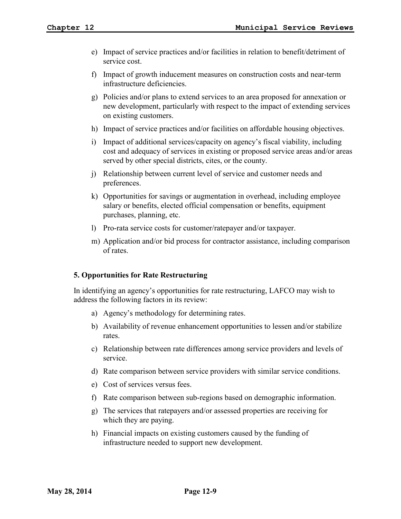- e) Impact of service practices and/or facilities in relation to benefit/detriment of service cost.
- f) Impact of growth inducement measures on construction costs and near-term infrastructure deficiencies.
- g) Policies and/or plans to extend services to an area proposed for annexation or new development, particularly with respect to the impact of extending services on existing customers.
- h) Impact of service practices and/or facilities on affordable housing objectives.
- i) Impact of additional services/capacity on agency's fiscal viability, including cost and adequacy of services in existing or proposed service areas and/or areas served by other special districts, cites, or the county.
- j) Relationship between current level of service and customer needs and preferences.
- k) Opportunities for savings or augmentation in overhead, including employee salary or benefits, elected official compensation or benefits, equipment purchases, planning, etc.
- l) Pro-rata service costs for customer/ratepayer and/or taxpayer.
- m) Application and/or bid process for contractor assistance, including comparison of rates.

# **5. Opportunities for Rate Restructuring**

In identifying an agency's opportunities for rate restructuring, LAFCO may wish to address the following factors in its review:

- a) Agency's methodology for determining rates.
- b) Availability of revenue enhancement opportunities to lessen and/or stabilize rates.
- c) Relationship between rate differences among service providers and levels of service.
- d) Rate comparison between service providers with similar service conditions.
- e) Cost of services versus fees.
- f) Rate comparison between sub-regions based on demographic information.
- g) The services that ratepayers and/or assessed properties are receiving for which they are paying.
- h) Financial impacts on existing customers caused by the funding of infrastructure needed to support new development.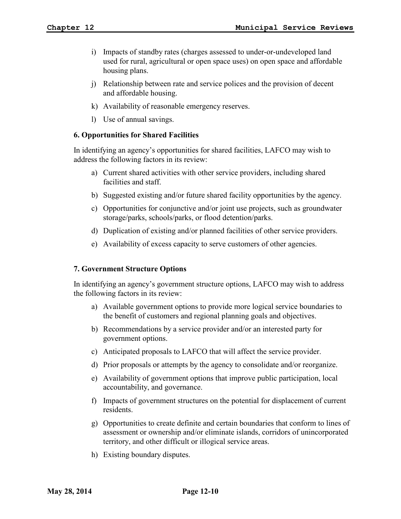- i) Impacts of standby rates (charges assessed to under-or-undeveloped land used for rural, agricultural or open space uses) on open space and affordable housing plans.
- j) Relationship between rate and service polices and the provision of decent and affordable housing.
- k) Availability of reasonable emergency reserves.
- l) Use of annual savings.

#### **6. Opportunities for Shared Facilities**

In identifying an agency's opportunities for shared facilities, LAFCO may wish to address the following factors in its review:

- a) Current shared activities with other service providers, including shared facilities and staff.
- b) Suggested existing and/or future shared facility opportunities by the agency.
- c) Opportunities for conjunctive and/or joint use projects, such as groundwater storage/parks, schools/parks, or flood detention/parks.
- d) Duplication of existing and/or planned facilities of other service providers.
- e) Availability of excess capacity to serve customers of other agencies.

# **7. Government Structure Options**

In identifying an agency's government structure options, LAFCO may wish to address the following factors in its review:

- a) Available government options to provide more logical service boundaries to the benefit of customers and regional planning goals and objectives.
- b) Recommendations by a service provider and/or an interested party for government options.
- c) Anticipated proposals to LAFCO that will affect the service provider.
- d) Prior proposals or attempts by the agency to consolidate and/or reorganize.
- e) Availability of government options that improve public participation, local accountability, and governance.
- f) Impacts of government structures on the potential for displacement of current residents.
- g) Opportunities to create definite and certain boundaries that conform to lines of assessment or ownership and/or eliminate islands, corridors of unincorporated territory, and other difficult or illogical service areas.
- h) Existing boundary disputes.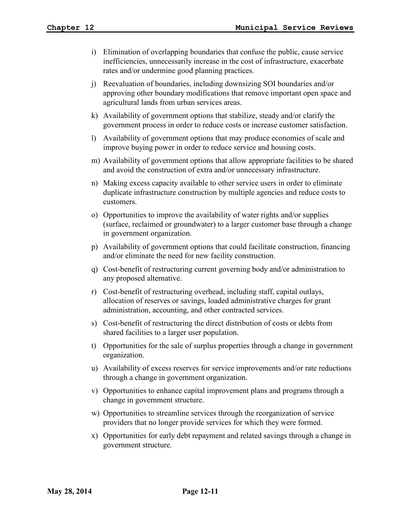- i) Elimination of overlapping boundaries that confuse the public, cause service inefficiencies, unnecessarily increase in the cost of infrastructure, exacerbate rates and/or undermine good planning practices.
- j) Reevaluation of boundaries, including downsizing SOI boundaries and/or approving other boundary modifications that remove important open space and agricultural lands from urban services areas.
- k) Availability of government options that stabilize, steady and/or clarify the government process in order to reduce costs or increase customer satisfaction.
- l) Availability of government options that may produce economies of scale and improve buying power in order to reduce service and housing costs.
- m) Availability of government options that allow appropriate facilities to be shared and avoid the construction of extra and/or unnecessary infrastructure.
- n) Making excess capacity available to other service users in order to eliminate duplicate infrastructure construction by multiple agencies and reduce costs to customers.
- o) Opportunities to improve the availability of water rights and/or supplies (surface, reclaimed or groundwater) to a larger customer base through a change in government organization.
- p) Availability of government options that could facilitate construction, financing and/or eliminate the need for new facility construction.
- q) Cost-benefit of restructuring current governing body and/or administration to any proposed alternative.
- r) Cost-benefit of restructuring overhead, including staff, capital outlays, allocation of reserves or savings, loaded administrative charges for grant administration, accounting, and other contracted services.
- s) Cost-benefit of restructuring the direct distribution of costs or debts from shared facilities to a larger user population.
- t) Opportunities for the sale of surplus properties through a change in government organization.
- u) Availability of excess reserves for service improvements and/or rate reductions through a change in government organization.
- v) Opportunities to enhance capital improvement plans and programs through a change in government structure.
- w) Opportunities to streamline services through the reorganization of service providers that no longer provide services for which they were formed.
- x) Opportunities for early debt repayment and related savings through a change in government structure.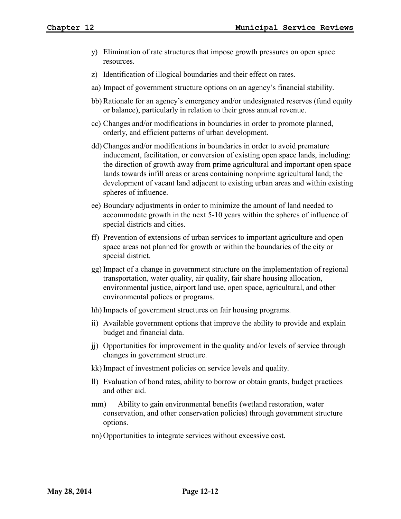- y) Elimination of rate structures that impose growth pressures on open space resources.
- z) Identification of illogical boundaries and their effect on rates.
- aa) Impact of government structure options on an agency's financial stability.
- bb) Rationale for an agency's emergency and/or undesignated reserves (fund equity or balance), particularly in relation to their gross annual revenue.
- cc) Changes and/or modifications in boundaries in order to promote planned, orderly, and efficient patterns of urban development.
- dd) Changes and/or modifications in boundaries in order to avoid premature inducement, facilitation, or conversion of existing open space lands, including: the direction of growth away from prime agricultural and important open space lands towards infill areas or areas containing nonprime agricultural land; the development of vacant land adjacent to existing urban areas and within existing spheres of influence.
- ee) Boundary adjustments in order to minimize the amount of land needed to accommodate growth in the next 5-10 years within the spheres of influence of special districts and cities.
- ff) Prevention of extensions of urban services to important agriculture and open space areas not planned for growth or within the boundaries of the city or special district.
- gg) Impact of a change in government structure on the implementation of regional transportation, water quality, air quality, fair share housing allocation, environmental justice, airport land use, open space, agricultural, and other environmental polices or programs.
- hh) Impacts of government structures on fair housing programs.
- ii) Available government options that improve the ability to provide and explain budget and financial data.
- jj) Opportunities for improvement in the quality and/or levels of service through changes in government structure.
- kk) Impact of investment policies on service levels and quality.
- ll) Evaluation of bond rates, ability to borrow or obtain grants, budget practices and other aid.
- mm) Ability to gain environmental benefits (wetland restoration, water conservation, and other conservation policies) through government structure options.
- nn) Opportunities to integrate services without excessive cost.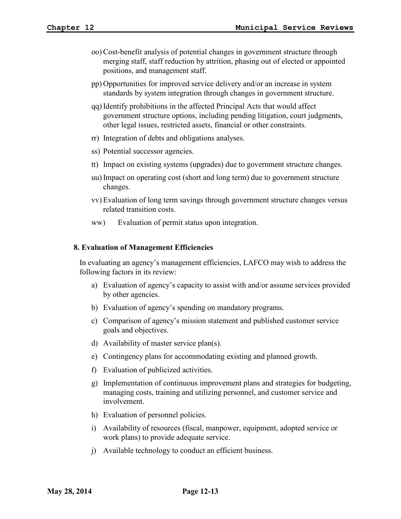- oo) Cost-benefit analysis of potential changes in government structure through merging staff, staff reduction by attrition, phasing out of elected or appointed positions, and management staff.
- pp) Opportunities for improved service delivery and/or an increase in system standards by system integration through changes in government structure.
- qq) Identify prohibitions in the affected Principal Acts that would affect government structure options, including pending litigation, court judgments, other legal issues, restricted assets, financial or other constraints.
- rr) Integration of debts and obligations analyses.
- ss) Potential successor agencies.
- tt) Impact on existing systems (upgrades) due to government structure changes.
- uu) Impact on operating cost (short and long term) due to government structure changes.
- vv) Evaluation of long term savings through government structure changes versus related transition costs.
- ww) Evaluation of permit status upon integration.

#### **8. Evaluation of Management Efficiencies**

In evaluating an agency's management efficiencies, LAFCO may wish to address the following factors in its review:

- a) Evaluation of agency's capacity to assist with and/or assume services provided by other agencies.
- b) Evaluation of agency's spending on mandatory programs.
- c) Comparison of agency's mission statement and published customer service goals and objectives.
- d) Availability of master service plan(s).
- e) Contingency plans for accommodating existing and planned growth.
- f) Evaluation of publicized activities.
- g) Implementation of continuous improvement plans and strategies for budgeting, managing costs, training and utilizing personnel, and customer service and involvement.
- h) Evaluation of personnel policies.
- i) Availability of resources (fiscal, manpower, equipment, adopted service or work plans) to provide adequate service.
- j) Available technology to conduct an efficient business.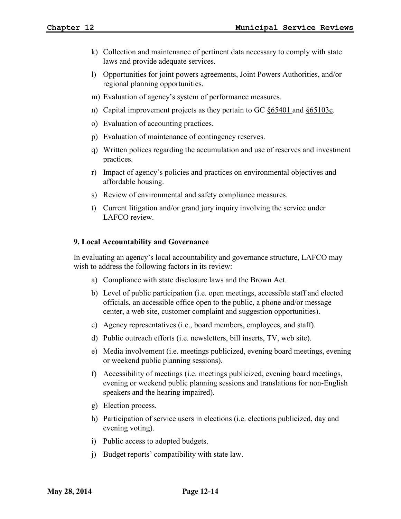- k) Collection and maintenance of pertinent data necessary to comply with state laws and provide adequate services.
- l) Opportunities for joint powers agreements, Joint Powers Authorities, and/or regional planning opportunities.
- m) Evaluation of agency's system of performance measures.
- n) Capital improvement projects as they pertain to GC §65401 and §65103c.
- o) Evaluation of accounting practices.
- p) Evaluation of maintenance of contingency reserves.
- q) Written polices regarding the accumulation and use of reserves and investment practices.
- r) Impact of agency's policies and practices on environmental objectives and affordable housing.
- s) Review of environmental and safety compliance measures.
- t) Current litigation and/or grand jury inquiry involving the service under LAFCO review.

#### **9. Local Accountability and Governance**

In evaluating an agency's local accountability and governance structure, LAFCO may wish to address the following factors in its review:

- a) Compliance with state disclosure laws and the Brown Act.
- b) Level of public participation (i.e. open meetings, accessible staff and elected officials, an accessible office open to the public, a phone and/or message center, a web site, customer complaint and suggestion opportunities).
- c) Agency representatives (i.e., board members, employees, and staff).
- d) Public outreach efforts (i.e. newsletters, bill inserts, TV, web site).
- e) Media involvement (i.e. meetings publicized, evening board meetings, evening or weekend public planning sessions).
- f) Accessibility of meetings (i.e. meetings publicized, evening board meetings, evening or weekend public planning sessions and translations for non-English speakers and the hearing impaired).
- g) Election process.
- h) Participation of service users in elections (i.e. elections publicized, day and evening voting).
- i) Public access to adopted budgets.
- j) Budget reports' compatibility with state law.